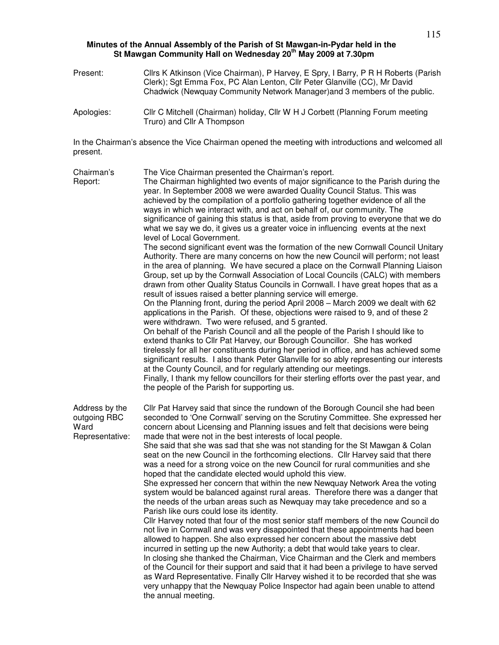## **Minutes of the Annual Assembly of the Parish of St Mawgan-in-Pydar held in the St Mawgan Community Hall on Wednesday 20th May 2009 at 7.30pm**

- Present: Cllrs K Atkinson (Vice Chairman), P Harvey, E Spry, I Barry, P R H Roberts (Parish Clerk); Sgt Emma Fox, PC Alan Lenton, Cllr Peter Glanville (CC), Mr David Chadwick (Newquay Community Network Manager)and 3 members of the public.
- Apologies: Cllr C Mitchell (Chairman) holiday, Cllr W H J Corbett (Planning Forum meeting Truro) and Cllr A Thompson

In the Chairman's absence the Vice Chairman opened the meeting with introductions and welcomed all present.

| Chairman's<br>Report:                                     | The Vice Chairman presented the Chairman's report.<br>The Chairman highlighted two events of major significance to the Parish during the<br>year. In September 2008 we were awarded Quality Council Status. This was<br>achieved by the compilation of a portfolio gathering together evidence of all the<br>ways in which we interact with, and act on behalf of, our community. The<br>significance of gaining this status is that, aside from proving to everyone that we do<br>what we say we do, it gives us a greater voice in influencing events at the next<br>level of Local Government.<br>The second significant event was the formation of the new Cornwall Council Unitary<br>Authority. There are many concerns on how the new Council will perform; not least<br>in the area of planning. We have secured a place on the Cornwall Planning Liaison<br>Group, set up by the Cornwall Association of Local Councils (CALC) with members<br>drawn from other Quality Status Councils in Cornwall. I have great hopes that as a<br>result of issues raised a better planning service will emerge.<br>On the Planning front, during the period April 2008 - March 2009 we dealt with 62<br>applications in the Parish. Of these, objections were raised to 9, and of these 2<br>were withdrawn. Two were refused, and 5 granted.<br>On behalf of the Parish Council and all the people of the Parish I should like to<br>extend thanks to Cllr Pat Harvey, our Borough Councillor. She has worked<br>tirelessly for all her constituents during her period in office, and has achieved some<br>significant results. I also thank Peter Glanville for so ably representing our interests<br>at the County Council, and for regularly attending our meetings.<br>Finally, I thank my fellow councillors for their sterling efforts over the past year, and<br>the people of the Parish for supporting us. |
|-----------------------------------------------------------|-------------------------------------------------------------------------------------------------------------------------------------------------------------------------------------------------------------------------------------------------------------------------------------------------------------------------------------------------------------------------------------------------------------------------------------------------------------------------------------------------------------------------------------------------------------------------------------------------------------------------------------------------------------------------------------------------------------------------------------------------------------------------------------------------------------------------------------------------------------------------------------------------------------------------------------------------------------------------------------------------------------------------------------------------------------------------------------------------------------------------------------------------------------------------------------------------------------------------------------------------------------------------------------------------------------------------------------------------------------------------------------------------------------------------------------------------------------------------------------------------------------------------------------------------------------------------------------------------------------------------------------------------------------------------------------------------------------------------------------------------------------------------------------------------------------------------------------------------------------------------------------------------------------------|
| Address by the<br>outgoing RBC<br>Ward<br>Representative: | Cllr Pat Harvey said that since the rundown of the Borough Council she had been<br>seconded to 'One Cornwall' serving on the Scrutiny Committee. She expressed her<br>concern about Licensing and Planning issues and felt that decisions were being<br>made that were not in the best interests of local people.<br>She said that she was sad that she was not standing for the St Mawgan & Colan<br>seat on the new Council in the forthcoming elections. Cllr Harvey said that there<br>was a need for a strong voice on the new Council for rural communities and she<br>hoped that the candidate elected would uphold this view.<br>She expressed her concern that within the new Newquay Network Area the voting<br>system would be balanced against rural areas. Therefore there was a danger that<br>the needs of the urban areas such as Newquay may take precedence and so a<br>Parish like ours could lose its identity.<br>Cllr Harvey noted that four of the most senior staff members of the new Council do<br>not live in Cornwall and was very disappointed that these appointments had been<br>allowed to happen. She also expressed her concern about the massive debt<br>incurred in setting up the new Authority; a debt that would take years to clear.<br>In closing she thanked the Chairman, Vice Chairman and the Clerk and members<br>of the Council for their support and said that it had been a privilege to have served<br>as Ward Representative. Finally Cllr Harvey wished it to be recorded that she was<br>very unhappy that the Newquay Police Inspector had again been unable to attend<br>the annual meeting.                                                                                                                                                                                                                                                               |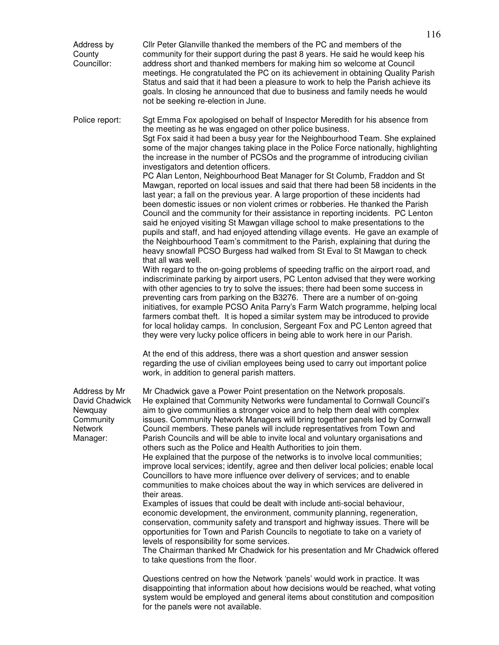| Address by<br>County<br>Councillor:                                                   | Cllr Peter Glanville thanked the members of the PC and members of the<br>community for their support during the past 8 years. He said he would keep his<br>address short and thanked members for making him so welcome at Council<br>meetings. He congratulated the PC on its achievement in obtaining Quality Parish<br>Status and said that it had been a pleasure to work to help the Parish achieve its<br>goals. In closing he announced that due to business and family needs he would<br>not be seeking re-election in June.                                                                                                                                                                                                                                                                                                                                                                                                                                                                                                                                                                                                                                                                                                                                                                                                                                                                                                                                                                                                                                                                                                                                                                                                                                                                                                                                                                                                                                                                                                                                                                                                   |
|---------------------------------------------------------------------------------------|---------------------------------------------------------------------------------------------------------------------------------------------------------------------------------------------------------------------------------------------------------------------------------------------------------------------------------------------------------------------------------------------------------------------------------------------------------------------------------------------------------------------------------------------------------------------------------------------------------------------------------------------------------------------------------------------------------------------------------------------------------------------------------------------------------------------------------------------------------------------------------------------------------------------------------------------------------------------------------------------------------------------------------------------------------------------------------------------------------------------------------------------------------------------------------------------------------------------------------------------------------------------------------------------------------------------------------------------------------------------------------------------------------------------------------------------------------------------------------------------------------------------------------------------------------------------------------------------------------------------------------------------------------------------------------------------------------------------------------------------------------------------------------------------------------------------------------------------------------------------------------------------------------------------------------------------------------------------------------------------------------------------------------------------------------------------------------------------------------------------------------------|
| Police report:                                                                        | Sgt Emma Fox apologised on behalf of Inspector Meredith for his absence from<br>the meeting as he was engaged on other police business.<br>Sqt Fox said it had been a busy year for the Neighbourhood Team. She explained<br>some of the major changes taking place in the Police Force nationally, highlighting<br>the increase in the number of PCSOs and the programme of introducing civilian<br>investigators and detention officers.<br>PC Alan Lenton, Neighbourhood Beat Manager for St Columb, Fraddon and St<br>Mawgan, reported on local issues and said that there had been 58 incidents in the<br>last year; a fall on the previous year. A large proportion of these incidents had<br>been domestic issues or non violent crimes or robberies. He thanked the Parish<br>Council and the community for their assistance in reporting incidents. PC Lenton<br>said he enjoyed visiting St Mawgan village school to make presentations to the<br>pupils and staff, and had enjoyed attending village events. He gave an example of<br>the Neighbourhood Team's commitment to the Parish, explaining that during the<br>heavy snowfall PCSO Burgess had walked from St Eval to St Mawgan to check<br>that all was well.<br>With regard to the on-going problems of speeding traffic on the airport road, and<br>indiscriminate parking by airport users, PC Lenton advised that they were working<br>with other agencies to try to solve the issues; there had been some success in<br>preventing cars from parking on the B3276. There are a number of on-going<br>initiatives, for example PCSO Anita Parry's Farm Watch programme, helping local<br>farmers combat theft. It is hoped a similar system may be introduced to provide<br>for local holiday camps. In conclusion, Sergeant Fox and PC Lenton agreed that<br>they were very lucky police officers in being able to work here in our Parish.<br>At the end of this address, there was a short question and answer session<br>regarding the use of civilian employees being used to carry out important police<br>work, in addition to general parish matters. |
| Address by Mr<br>David Chadwick<br>Newquay<br>Community<br><b>Network</b><br>Manager: | Mr Chadwick gave a Power Point presentation on the Network proposals.<br>He explained that Community Networks were fundamental to Cornwall Council's<br>aim to give communities a stronger voice and to help them deal with complex<br>issues. Community Network Managers will bring together panels led by Cornwall<br>Council members. These panels will include representatives from Town and<br>Parish Councils and will be able to invite local and voluntary organisations and<br>others such as the Police and Health Authorities to join them.<br>He explained that the purpose of the networks is to involve local communities;<br>improve local services; identify, agree and then deliver local policies; enable local<br>Councillors to have more influence over delivery of services; and to enable<br>communities to make choices about the way in which services are delivered in<br>their areas.<br>Examples of issues that could be dealt with include anti-social behaviour,<br>economic development, the environment, community planning, regeneration,<br>conservation, community safety and transport and highway issues. There will be<br>opportunities for Town and Parish Councils to negotiate to take on a variety of<br>levels of responsibility for some services.<br>The Chairman thanked Mr Chadwick for his presentation and Mr Chadwick offered<br>to take questions from the floor.<br>Questions centred on how the Network 'panels' would work in practice. It was<br>disappointing that information about how decisions would be reached, what voting<br>system would be employed and general items about constitution and composition                                                                                                                                                                                                                                                                                                                                                                                                                                                             |

for the panels were not available.

116